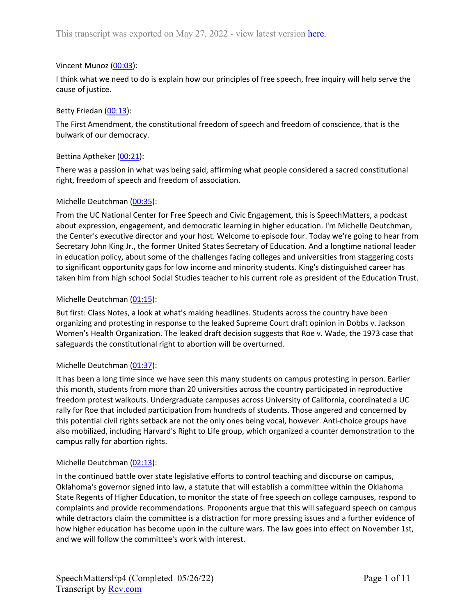### Vincent Munoz ([00:03\)](https://www.rev.com/transcript-editor/Edit?token=bI-QlmOS2nwZopN8-a6PkySgJz7B6CjpZPCZ3ZfDq6hOpxQZlYz7YKx8niB1q71ZdRRjz3CSmOjK6mOMC6jtATW5WBI&loadFrom=DocumentDeeplink&ts=3.15):

I think what we need to do is explain how our principles of free speech, free inquiry will help serve the cause of justice.

# Betty Friedan ([00:13](https://www.rev.com/transcript-editor/Edit?token=AqkOK8iCqvCwNA1FItcA79UJej-QEf2_viqmDzq2veG228ucaK7KUCtqxIw9CiwyJVEvPuBPJe4OjebRod1s845bytY&loadFrom=DocumentDeeplink&ts=13.47)):

The First Amendment, the constitutional freedom of speech and freedom of conscience, that is the bulwark of our democracy.

# Bettina Aptheker [\(00:21](https://www.rev.com/transcript-editor/Edit?token=GsJgfSX4WQYm9bP7RWmlTaNYM_ntIzXm4HGXsZ7IS6mHUCAla0XUBfGT2Pakwa0BQCigfEEkFMn3V0SNu-ImxcBk2vQ&loadFrom=DocumentDeeplink&ts=21.98)):

There was a passion in what was being said, affirming what people considered a sacred constitutional right, freedom of speech and freedom of association.

# Michelle Deutchman ([00:35\)](https://www.rev.com/transcript-editor/Edit?token=ELZCbw80Macp0kHZfDChVclCi6-7fS0HRjwo6c6jXedTeJspAbs2tJWz61qbMFX5SSWpaLRgSvydPRT1sgjJwPbrS9I&loadFrom=DocumentDeeplink&ts=35.09):

From the UC National Center for Free Speech and Civic Engagement, this is SpeechMatters, a podcast about expression, engagement, and democratic learning in higher education. I'm Michelle Deutchman, the Center's executive director and your host. Welcome to episode four. Today we're going to hear from Secretary John King Jr., the former United States Secretary of Education. And a longtime national leader in education policy, about some of the challenges facing colleges and universities from staggering costs to significant opportunity gaps for low income and minority students. King's distinguished career has taken him from high school Social Studies teacher to his current role as president of the Education Trust.

# Michelle Deutchman ([01:15\)](https://www.rev.com/transcript-editor/Edit?token=z4oCDcuFE6V6M-DxXw3U8ovoWt4WjtiRyqCFGRBloSzNBDQ38gjF-7N9a2akKZX-9vs2O5gkqKV33kUVHBrGdYg5gxo&loadFrom=DocumentDeeplink&ts=75.89):

But first: Class Notes, a look at what's making headlines. Students across the country have been organizing and protesting in response to the leaked Supreme Court draft opinion in Dobbs v. Jackson Women's Health Organization. The leaked draft decision suggests that Roe v. Wade, the 1973 case that safeguards the constitutional right to abortion will be overturned.

#### Michelle Deutchman ([01:37\)](https://www.rev.com/transcript-editor/Edit?token=vnk793nuWbVAFb35qEmX4PlDVpZTWnLFzCwRgBPTPe8m2E9VvGiMNlF5fqZlJec0uqtfPTMnMYV6YDQba9T9Hvt8378&loadFrom=DocumentDeeplink&ts=97.55):

It has been a long time since we have seen this many students on campus protesting in person. Earlier this month, students from more than 20 universities across the country participated in reproductive freedom protest walkouts. Undergraduate campuses across University of California, coordinated a UC rally for Roe that included participation from hundreds of students. Those angered and concerned by this potential civil rights setback are not the only ones being vocal, however. Anti-choice groups have also mobilized, including Harvard's Right to Life group, which organized a counter demonstration to the campus rally for abortion rights.

#### Michelle Deutchman ([02:13\)](https://www.rev.com/transcript-editor/Edit?token=JGzV3E_okh6fa1alaWnGW8PI0JpB9-gHvSkLRx_Iqd8aJu7zt43L8ijLGIMlKR2GU2i5TPPQ0Vwt7bxOUd1AeTTT1D4&loadFrom=DocumentDeeplink&ts=133.97):

In the continued battle over state legislative efforts to control teaching and discourse on campus, Oklahoma's governor signed into law, a statute that will establish a committee within the Oklahoma State Regents of Higher Education, to monitor the state of free speech on college campuses, respond to complaints and provide recommendations. Proponents argue that this will safeguard speech on campus while detractors claim the committee is a distraction for more pressing issues and a further evidence of how higher education has become upon in the culture wars. The law goes into effect on November 1st, and we will follow the committee's work with interest.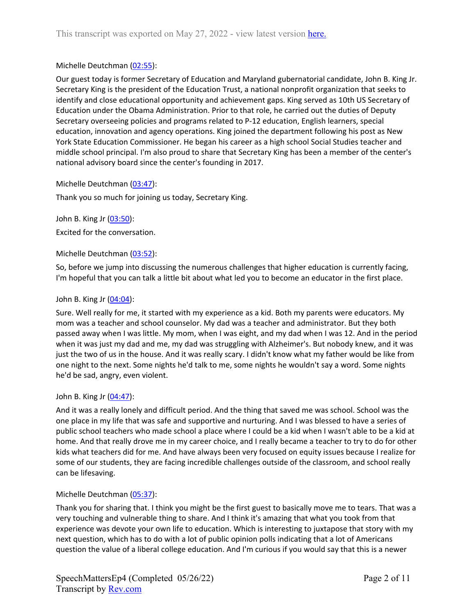# Michelle Deutchman ([02:55\)](https://www.rev.com/transcript-editor/Edit?token=oHMAFQAeFP9YKVMokEBNp9MlTCYBtdBDOyeOuipqus8bHCsToLWqWJ96_BNVn1XL8TRBgX9upBycEPLQCZ4g6ZLulxo&loadFrom=DocumentDeeplink&ts=175.86):

Our guest today is former Secretary of Education and Maryland gubernatorial candidate, John B. King Jr. Secretary King is the president of the Education Trust, a national nonprofit organization that seeks to identify and close educational opportunity and achievement gaps. King served as 10th US Secretary of Education under the Obama Administration. Prior to that role, he carried out the duties of Deputy Secretary overseeing policies and programs related to P-12 education, English learners, special education, innovation and agency operations. King joined the department following his post as New York State Education Commissioner. He began his career as a high school Social Studies teacher and middle school principal. I'm also proud to share that Secretary King has been a member of the center's national advisory board since the center's founding in 2017.

Michelle Deutchman ([03:47\)](https://www.rev.com/transcript-editor/Edit?token=vQKJVgLrlH8yj5-YycDakTaEhlpDKvDZONaMGPHbzpo3ouCiX7tD7kw_bxsQE-dzwLuYDjOaQErYIg9V5l3ib12fmJ8&loadFrom=DocumentDeeplink&ts=227.65):

Thank you so much for joining us today, Secretary King.

John B. King Jr [\(03:50\)](https://www.rev.com/transcript-editor/Edit?token=PopCq94EFC4ZHyInCDpPCtTUj20LiWj_LK8Q5AMuzLz4RgsX-UQ8vexWUIaPFo3OLX5mg86CcCP5TODWG_RboA1Y004&loadFrom=DocumentDeeplink&ts=230.87):

Excited for the conversation.

Michelle Deutchman ([03:52\)](https://www.rev.com/transcript-editor/Edit?token=M8ANPOtpIsKEAe13FgJdpooMuLT0IBntKgDcouCmhVkGBFvDMt6sboI9bUzcz9Zv1LR4fD7Q3-Eo5slOZq4vq_MmLIs&loadFrom=DocumentDeeplink&ts=232.67):

So, before we jump into discussing the numerous challenges that higher education is currently facing, I'm hopeful that you can talk a little bit about what led you to become an educator in the first place.

John B. King Jr  $(04:04)$ :

Sure. Well really for me, it started with my experience as a kid. Both my parents were educators. My mom was a teacher and school counselor. My dad was a teacher and administrator. But they both passed away when I was little. My mom, when I was eight, and my dad when I was 12. And in the period when it was just my dad and me, my dad was struggling with Alzheimer's. But nobody knew, and it was just the two of us in the house. And it was really scary. I didn't know what my father would be like from one night to the next. Some nights he'd talk to me, some nights he wouldn't say a word. Some nights he'd be sad, angry, even violent.

#### John B. King Jr  $(04:47)$ :

And it was a really lonely and difficult period. And the thing that saved me was school. School was the one place in my life that was safe and supportive and nurturing. And I was blessed to have a series of public school teachers who made school a place where I could be a kid when I wasn't able to be a kid at home. And that really drove me in my career choice, and I really became a teacher to try to do for other kids what teachers did for me. And have always been very focused on equity issues because I realize for some of our students, they are facing incredible challenges outside of the classroom, and school really can be lifesaving.

# Michelle Deutchman ([05:37\)](https://www.rev.com/transcript-editor/Edit?token=p7FY7VWTxuGF6Y1TMIW6_V2JjLhwIrzOKTaVD2go2e5ixPuijN7muvMiWdguc5D6sf0Z4rH-Kseddjfop3iv419NzTU&loadFrom=DocumentDeeplink&ts=337.94):

Thank you for sharing that. I think you might be the first guest to basically move me to tears. That was a very touching and vulnerable thing to share. And I think it's amazing that what you took from that experience was devote your own life to education. Which is interesting to juxtapose that story with my next question, which has to do with a lot of public opinion polls indicating that a lot of Americans question the value of a liberal college education. And I'm curious if you would say that this is a newer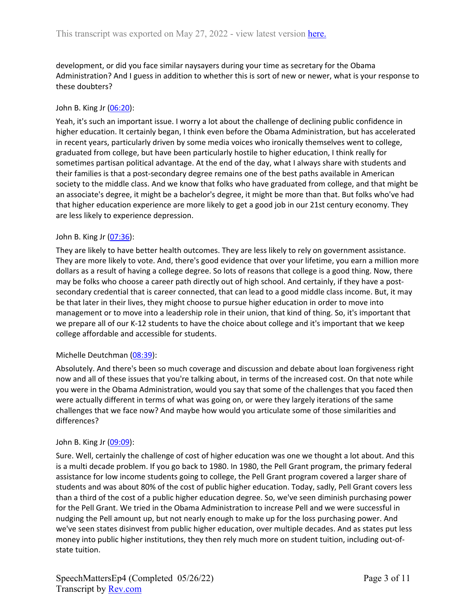development, or did you face similar naysayers during your time as secretary for the Obama Administration? And I guess in addition to whether this is sort of new or newer, what is your response to these doubters?

# John B. King Jr [\(06:20\)](https://www.rev.com/transcript-editor/Edit?token=yujjvoVmhK0tjx5xQNtAPmiHDGoZC9uQEUV7AQE-MPPV3h5mqRK1XMoXYFQ-Pk_Ol1MFktpiKL2TDcKV3hbaeUrPt5Q&loadFrom=DocumentDeeplink&ts=380.62):

Yeah, it's such an important issue. I worry a lot about the challenge of declining public confidence in higher education. It certainly began, I think even before the Obama Administration, but has accelerated in recent years, particularly driven by some media voices who ironically themselves went to college, graduated from college, but have been particularly hostile to higher education, I think really for sometimes partisan political advantage. At the end of the day, what I always share with students and their families is that a post-secondary degree remains one of the best paths available in American society to the middle class. And we know that folks who have graduated from college, and that might be an associate's degree, it might be a bachelor's degree, it might be more than that. But folks who've had that higher education experience are more likely to get a good job in our 21st century economy. They are less likely to experience depression.

# John B. King Jr [\(07:36\)](https://www.rev.com/transcript-editor/Edit?token=0am9iKjEt_AoKDfoP9sLiYcwvh9MC0aUU9rs7WQ_KN8-W1vdXWPYM9t2fc3AO1Uka43HIpxvujSm1hvE_RW4iqHAsSs&loadFrom=DocumentDeeplink&ts=456.15):

They are likely to have better health outcomes. They are less likely to rely on government assistance. They are more likely to vote. And, there's good evidence that over your lifetime, you earn a million more dollars as a result of having a college degree. So lots of reasons that college is a good thing. Now, there may be folks who choose a career path directly out of high school. And certainly, if they have a postsecondary credential that is career connected, that can lead to a good middle class income. But, it may be that later in their lives, they might choose to pursue higher education in order to move into management or to move into a leadership role in their union, that kind of thing. So, it's important that we prepare all of our K-12 students to have the choice about college and it's important that we keep college affordable and accessible for students.

#### Michelle Deutchman ([08:39\)](https://www.rev.com/transcript-editor/Edit?token=kFtFXOi9tdkWATzpsuZlh3jp0R760qrzgVdDtIf_QUu1O_fu9QOX7u40-TaFaq7puvcdO42LuvBBDNRwMaMuOJQ_O7g&loadFrom=DocumentDeeplink&ts=519.13):

Absolutely. And there's been so much coverage and discussion and debate about loan forgiveness right now and all of these issues that you're talking about, in terms of the increased cost. On that note while you were in the Obama Administration, would you say that some of the challenges that you faced then were actually different in terms of what was going on, or were they largely iterations of the same challenges that we face now? And maybe how would you articulate some of those similarities and differences?

#### John B. King Jr [\(09:09\)](https://www.rev.com/transcript-editor/Edit?token=az49ZAjRAclez1VQuMhYLIcbVMbRr47ScmdLKbX4mLri8lT1sWNFuoa3AWuiDdDvNmgyqgJVIqI-cOrg2EiuxIFmP5Q&loadFrom=DocumentDeeplink&ts=549.21):

Sure. Well, certainly the challenge of cost of higher education was one we thought a lot about. And this is a multi decade problem. If you go back to 1980. In 1980, the Pell Grant program, the primary federal assistance for low income students going to college, the Pell Grant program covered a larger share of students and was about 80% of the cost of public higher education. Today, sadly, Pell Grant covers less than a third of the cost of a public higher education degree. So, we've seen diminish purchasing power for the Pell Grant. We tried in the Obama Administration to increase Pell and we were successful in nudging the Pell amount up, but not nearly enough to make up for the loss purchasing power. And we've seen states disinvest from public higher education, over multiple decades. And as states put less money into public higher institutions, they then rely much more on student tuition, including out-ofstate tuition.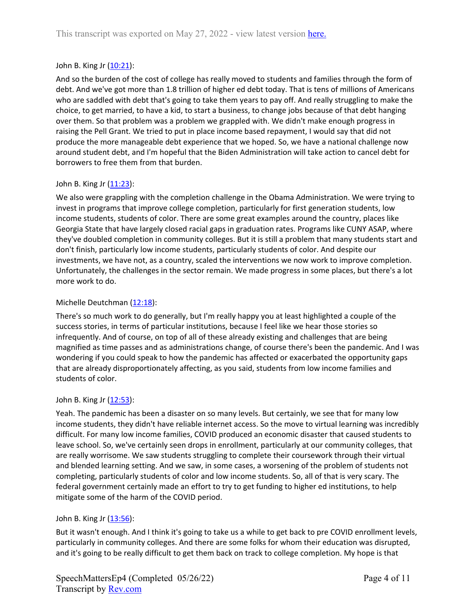# John B. King Jr  $(10:21)$ :

And so the burden of the cost of college has really moved to students and families through the form of debt. And we've got more than 1.8 trillion of higher ed debt today. That is tens of millions of Americans who are saddled with debt that's going to take them years to pay off. And really struggling to make the choice, to get married, to have a kid, to start a business, to change jobs because of that debt hanging over them. So that problem was a problem we grappled with. We didn't make enough progress in raising the Pell Grant. We tried to put in place income based repayment, I would say that did not produce the more manageable debt experience that we hoped. So, we have a national challenge now around student debt, and I'm hopeful that the Biden Administration will take action to cancel debt for borrowers to free them from that burden.

# John B. King Jr  $(11:23)$ :

We also were grappling with the completion challenge in the Obama Administration. We were trying to invest in programs that improve college completion, particularly for first generation students, low income students, students of color. There are some great examples around the country, places like Georgia State that have largely closed racial gaps in graduation rates. Programs like CUNY ASAP, where they've doubled completion in community colleges. But it is still a problem that many students start and don't finish, particularly low income students, particularly students of color. And despite our investments, we have not, as a country, scaled the interventions we now work to improve completion. Unfortunately, the challenges in the sector remain. We made progress in some places, but there's a lot more work to do.

# Michelle Deutchman ([12:18\)](https://www.rev.com/transcript-editor/Edit?token=1cjC2zZGVV7OvSnBUS26t41B5M-0Hjer9RJ12DCwJFie-HGzpusJy3VFlRErVdcl63W73yPzZbnkrfI4-tHLX7JeaN0&loadFrom=DocumentDeeplink&ts=738.89):

There's so much work to do generally, but I'm really happy you at least highlighted a couple of the success stories, in terms of particular institutions, because I feel like we hear those stories so infrequently. And of course, on top of all of these already existing and challenges that are being magnified as time passes and as administrations change, of course there's been the pandemic. And I was wondering if you could speak to how the pandemic has affected or exacerbated the opportunity gaps that are already disproportionately affecting, as you said, students from low income families and students of color.

#### John B. King Jr [\(12:53\)](https://www.rev.com/transcript-editor/Edit?token=CHMeGlCYdBpMGlm4Zwf2DVpBjiHUBDjhL1fsYwsLJVb1Bwu8zWyEKKd1dGCwNRIuuADAd5cdVZJTPxRau4wU0DU6PTw&loadFrom=DocumentDeeplink&ts=773.88):

Yeah. The pandemic has been a disaster on so many levels. But certainly, we see that for many low income students, they didn't have reliable internet access. So the move to virtual learning was incredibly difficult. For many low income families, COVID produced an economic disaster that caused students to leave school. So, we've certainly seen drops in enrollment, particularly at our community colleges, that are really worrisome. We saw students struggling to complete their coursework through their virtual and blended learning setting. And we saw, in some cases, a worsening of the problem of students not completing, particularly students of color and low income students. So, all of that is very scary. The federal government certainly made an effort to try to get funding to higher ed institutions, to help mitigate some of the harm of the COVID period.

#### John B. King Jr  $(13:56)$ :

But it wasn't enough. And I think it's going to take us a while to get back to pre COVID enrollment levels, particularly in community colleges. And there are some folks for whom their education was disrupted, and it's going to be really difficult to get them back on track to college completion. My hope is that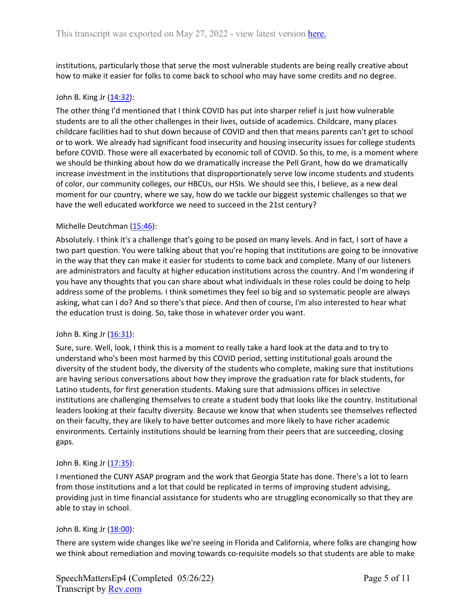institutions, particularly those that serve the most vulnerable students are being really creative about how to make it easier for folks to come back to school who may have some credits and no degree.

#### John B. King Jr  $(14:32)$ :

The other thing I'd mentioned that I think COVID has put into sharper relief is just how vulnerable students are to all the other challenges in their lives, outside of academics. Childcare, many places childcare facilities had to shut down because of COVID and then that means parents can't get to school or to work. We already had significant food insecurity and housing insecurity issues for college students before COVID. Those were all exacerbated by economic toll of COVID. So this, to me, is a moment where we should be thinking about how do we dramatically increase the Pell Grant, how do we dramatically increase investment in the institutions that disproportionately serve low income students and students of color, our community colleges, our HBCUs, our HSIs. We should see this, I believe, as a new deal moment for our country, where we say, how do we tackle our biggest systemic challenges so that we have the well educated workforce we need to succeed in the 21st century?

#### Michelle Deutchman ([15:46\)](https://www.rev.com/transcript-editor/Edit?token=cnpPDbJoCvHniNZnkC_n5rvZE5d7i_Pb_Z9kelZ3vFWHs74UWkmIZMxdF8T9ifY_TaiFzogNZMzQL_KAg95AsMivlEo&loadFrom=DocumentDeeplink&ts=946.21):

Absolutely. I think it's a challenge that's going to be posed on many levels. And in fact, I sort of have a two part question. You were talking about that you're hoping that institutions are going to be innovative in the way that they can make it easier for students to come back and complete. Many of our listeners are administrators and faculty at higher education institutions across the country. And I'm wondering if you have any thoughts that you can share about what individuals in these roles could be doing to help address some of the problems. I think sometimes they feel so big and so systematic people are always asking, what can I do? And so there's that piece. And then of course, I'm also interested to hear what the education trust is doing. So, take those in whatever order you want.

#### John B. King Jr  $(16:31)$ :

Sure, sure. Well, look, I think this is a moment to really take a hard look at the data and to try to understand who's been most harmed by this COVID period, setting institutional goals around the diversity of the student body, the diversity of the students who complete, making sure that institutions are having serious conversations about how they improve the graduation rate for black students, for Latino students, for first generation students. Making sure that admissions offices in selective institutions are challenging themselves to create a student body that looks like the country. Institutional leaders looking at their faculty diversity. Because we know that when students see themselves reflected on their faculty, they are likely to have better outcomes and more likely to have richer academic environments. Certainly institutions should be learning from their peers that are succeeding, closing gaps.

#### John B. King Jr  $(17:35)$ :

I mentioned the CUNY ASAP program and the work that Georgia State has done. There's a lot to learn from those institutions and a lot that could be replicated in terms of improving student advising, providing just in time financial assistance for students who are struggling economically so that they are able to stay in school.

#### John B. King Jr [\(18:00\)](https://www.rev.com/transcript-editor/Edit?token=IIRahzZIyxb4Z-dhPZQlBHMcTFX9_oGYHbWarX38yih8FNphzmL6AwPuUgd5BX_ae3jUa-PlipsWsEIdXws1xCq6Irc&loadFrom=DocumentDeeplink&ts=1080.45):

There are system wide changes like we're seeing in Florida and California, where folks are changing how we think about remediation and moving towards co-requisite models so that students are able to make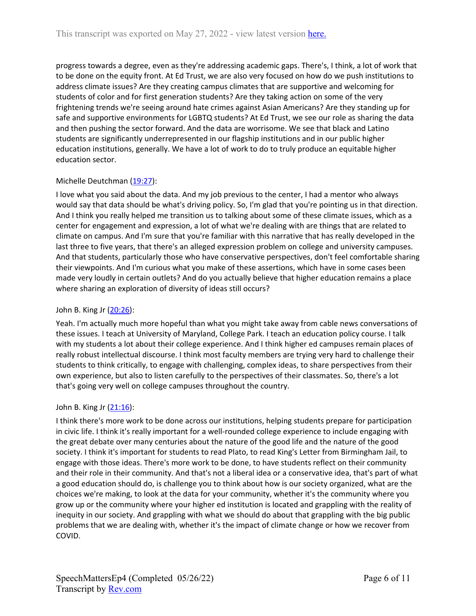progress towards a degree, even as they're addressing academic gaps. There's, I think, a lot of work that to be done on the equity front. At Ed Trust, we are also very focused on how do we push institutions to address climate issues? Are they creating campus climates that are supportive and welcoming for students of color and for first generation students? Are they taking action on some of the very frightening trends we're seeing around hate crimes against Asian Americans? Are they standing up for safe and supportive environments for LGBTQ students? At Ed Trust, we see our role as sharing the data and then pushing the sector forward. And the data are worrisome. We see that black and Latino students are significantly underrepresented in our flagship institutions and in our public higher education institutions, generally. We have a lot of work to do to truly produce an equitable higher education sector.

# Michelle Deutchman ([19:27\)](https://www.rev.com/transcript-editor/Edit?token=r9RGxDeEos909jLOjHVmGyiI187Ut6sNXEx-dDUNPabCeRA0JyDVZwXIYU7pDjK0ofUlRmuBlazKf8VzjiCV7PS2Giw&loadFrom=DocumentDeeplink&ts=1167.73):

I love what you said about the data. And my job previous to the center, I had a mentor who always would say that data should be what's driving policy. So, I'm glad that you're pointing us in that direction. And I think you really helped me transition us to talking about some of these climate issues, which as a center for engagement and expression, a lot of what we're dealing with are things that are related to climate on campus. And I'm sure that you're familiar with this narrative that has really developed in the last three to five years, that there's an alleged expression problem on college and university campuses. And that students, particularly those who have conservative perspectives, don't feel comfortable sharing their viewpoints. And I'm curious what you make of these assertions, which have in some cases been made very loudly in certain outlets? And do you actually believe that higher education remains a place where sharing an exploration of diversity of ideas still occurs?

# John B. King Jr [\(20:26\)](https://www.rev.com/transcript-editor/Edit?token=OcpCkajaKAyb86Z3cw8Y00voBwgM79tJls_eS0x0qcCFzaDyTGp_3J9ZJbyiwIe1z4abFhU2yV_1r8USJRwuFaVoPHM&loadFrom=DocumentDeeplink&ts=1226.61):

Yeah. I'm actually much more hopeful than what you might take away from cable news conversations of these issues. I teach at University of Maryland, College Park. I teach an education policy course. I talk with my students a lot about their college experience. And I think higher ed campuses remain places of really robust intellectual discourse. I think most faculty members are trying very hard to challenge their students to think critically, to engage with challenging, complex ideas, to share perspectives from their own experience, but also to listen carefully to the perspectives of their classmates. So, there's a lot that's going very well on college campuses throughout the country.

# John B. King Jr  $(21:16)$ :

I think there's more work to be done across our institutions, helping students prepare for participation in civic life. I think it's really important for a well-rounded college experience to include engaging with the great debate over many centuries about the nature of the good life and the nature of the good society. I think it's important for students to read Plato, to read King's Letter from Birmingham Jail, to engage with those ideas. There's more work to be done, to have students reflect on their community and their role in their community. And that's not a liberal idea or a conservative idea, that's part of what a good education should do, is challenge you to think about how is our society organized, what are the choices we're making, to look at the data for your community, whether it's the community where you grow up or the community where your higher ed institution is located and grappling with the reality of inequity in our society. And grappling with what we should do about that grappling with the big public problems that we are dealing with, whether it's the impact of climate change or how we recover from COVID.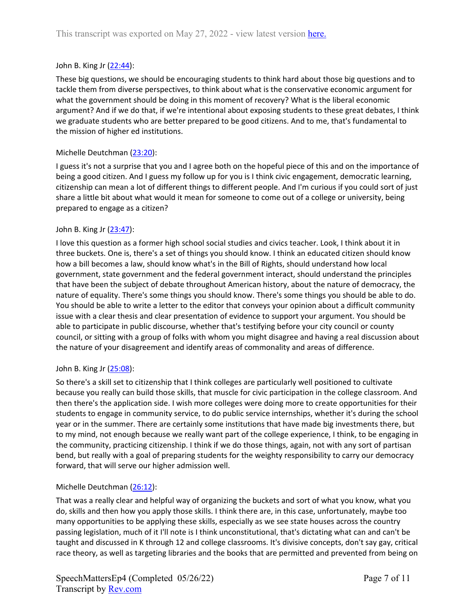### John B. King Jr [\(22:44\)](https://www.rev.com/transcript-editor/Edit?token=OiHP5HWCSR8xG1B8JZB3gfVPkPHOOmSC0Xv5_UB8KzYETMEC0tuBw3bZdMxG2rAfsxfrx-Pmte0Qs4kqf6OJgeulook&loadFrom=DocumentDeeplink&ts=1364.72):

These big questions, we should be encouraging students to think hard about those big questions and to tackle them from diverse perspectives, to think about what is the conservative economic argument for what the government should be doing in this moment of recovery? What is the liberal economic argument? And if we do that, if we're intentional about exposing students to these great debates, I think we graduate students who are better prepared to be good citizens. And to me, that's fundamental to the mission of higher ed institutions.

# Michelle Deutchman ([23:20\)](https://www.rev.com/transcript-editor/Edit?token=YYwDkCNL3l1JBp9b88BlxfyxRwSCV5QN72tKE_dhxYHHnF03c1FY_ytqUHFeARL3WIZYdba5o662ayCwGfIOqUEzQ1c&loadFrom=DocumentDeeplink&ts=1400.47):

I guess it's not a surprise that you and I agree both on the hopeful piece of this and on the importance of being a good citizen. And I guess my follow up for you is I think civic engagement, democratic learning, citizenship can mean a lot of different things to different people. And I'm curious if you could sort of just share a little bit about what would it mean for someone to come out of a college or university, being prepared to engage as a citizen?

#### John B. King Jr  $(23:47)$ :

I love this question as a former high school social studies and civics teacher. Look, I think about it in three buckets. One is, there's a set of things you should know. I think an educated citizen should know how a bill becomes a law, should know what's in the Bill of Rights, should understand how local government, state government and the federal government interact, should understand the principles that have been the subject of debate throughout American history, about the nature of democracy, the nature of equality. There's some things you should know. There's some things you should be able to do. You should be able to write a letter to the editor that conveys your opinion about a difficult community issue with a clear thesis and clear presentation of evidence to support your argument. You should be able to participate in public discourse, whether that's testifying before your city council or county council, or sitting with a group of folks with whom you might disagree and having a real discussion about the nature of your disagreement and identify areas of commonality and areas of difference.

#### John B. King Jr [\(25:08\)](https://www.rev.com/transcript-editor/Edit?token=9_eFO9Lvk0eWpKu1gfWpybgAgfGwDanZhPGr6oMiN2cBHmlMa_q0_ZDCb27Zk0C1fVofoEzWAgHXfZKIx1OIanHNqfM&loadFrom=DocumentDeeplink&ts=1508.64):

So there's a skill set to citizenship that I think colleges are particularly well positioned to cultivate because you really can build those skills, that muscle for civic participation in the college classroom. And then there's the application side. I wish more colleges were doing more to create opportunities for their students to engage in community service, to do public service internships, whether it's during the school year or in the summer. There are certainly some institutions that have made big investments there, but to my mind, not enough because we really want part of the college experience, I think, to be engaging in the community, practicing citizenship. I think if we do those things, again, not with any sort of partisan bend, but really with a goal of preparing students for the weighty responsibility to carry our democracy forward, that will serve our higher admission well.

#### Michelle Deutchman ([26:12\)](https://www.rev.com/transcript-editor/Edit?token=Pz4S8Z2rrnRSPW8LTSDjh6_4ZBG_ayPhmWYIxscoVgwL0oKV6VRRtDQUnlsDaV8gXSAlbTbul_g7LW7IbxH4pbvGe0g&loadFrom=DocumentDeeplink&ts=1572.81):

That was a really clear and helpful way of organizing the buckets and sort of what you know, what you do, skills and then how you apply those skills. I think there are, in this case, unfortunately, maybe too many opportunities to be applying these skills, especially as we see state houses across the country passing legislation, much of it I'll note is I think unconstitutional, that's dictating what can and can't be taught and discussed in K through 12 and college classrooms. It's divisive concepts, don't say gay, critical race theory, as well as targeting libraries and the books that are permitted and prevented from being on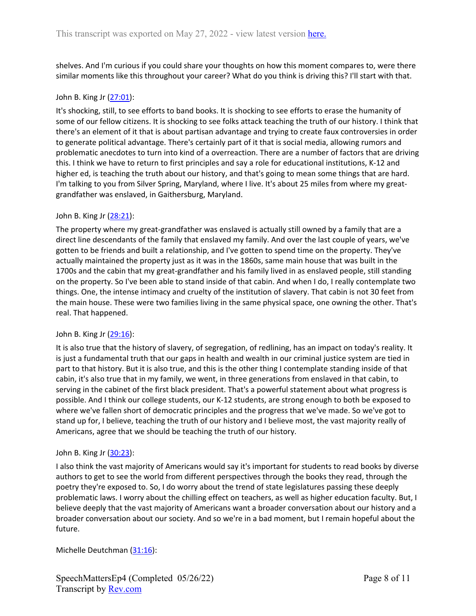shelves. And I'm curious if you could share your thoughts on how this moment compares to, were there similar moments like this throughout your career? What do you think is driving this? I'll start with that.

### John B. King Jr [\(27:01\)](https://www.rev.com/transcript-editor/Edit?token=RhDWTmBjbs3tg5drAKDF1p5TELpGQsVuEj-bifM3ZCGaeeqBYiDuQui6Kfh6aCjTjC98qsOdEb0fD6wje7odtLyFk4I&loadFrom=DocumentDeeplink&ts=1621.92):

It's shocking, still, to see efforts to band books. It is shocking to see efforts to erase the humanity of some of our fellow citizens. It is shocking to see folks attack teaching the truth of our history. I think that there's an element of it that is about partisan advantage and trying to create faux controversies in order to generate political advantage. There's certainly part of it that is social media, allowing rumors and problematic anecdotes to turn into kind of a overreaction. There are a number of factors that are driving this. I think we have to return to first principles and say a role for educational institutions, K-12 and higher ed, is teaching the truth about our history, and that's going to mean some things that are hard. I'm talking to you from Silver Spring, Maryland, where I live. It's about 25 miles from where my greatgrandfather was enslaved, in Gaithersburg, Maryland.

#### John B. King Jr [\(28:21\)](https://www.rev.com/transcript-editor/Edit?token=l91WWBmqfSxfEryhHShOsDYTSe2TmLmoprbL7EV98VwxagN5KX36us34KPjOdqfnM1V5yIIxsbhsQd9vgAmifICWIyA&loadFrom=DocumentDeeplink&ts=1701.83):

The property where my great-grandfather was enslaved is actually still owned by a family that are a direct line descendants of the family that enslaved my family. And over the last couple of years, we've gotten to be friends and built a relationship, and I've gotten to spend time on the property. They've actually maintained the property just as it was in the 1860s, same main house that was built in the 1700s and the cabin that my great-grandfather and his family lived in as enslaved people, still standing on the property. So I've been able to stand inside of that cabin. And when I do, I really contemplate two things. One, the intense intimacy and cruelty of the institution of slavery. That cabin is not 30 feet from the main house. These were two families living in the same physical space, one owning the other. That's real. That happened.

#### John B. King Jr [\(29:16\)](https://www.rev.com/transcript-editor/Edit?token=v7y723BKPCo4yOBzmFs5rciNKyDz95v2HbCkuMVoXOL5Acen0TBV6J-HXFBRq-bkb2Ztk9aYzZPtK6Cb8K9vMO3MJ78&loadFrom=DocumentDeeplink&ts=1756.64):

It is also true that the history of slavery, of segregation, of redlining, has an impact on today's reality. It is just a fundamental truth that our gaps in health and wealth in our criminal justice system are tied in part to that history. But it is also true, and this is the other thing I contemplate standing inside of that cabin, it's also true that in my family, we went, in three generations from enslaved in that cabin, to serving in the cabinet of the first black president. That's a powerful statement about what progress is possible. And I think our college students, our K-12 students, are strong enough to both be exposed to where we've fallen short of democratic principles and the progress that we've made. So we've got to stand up for, I believe, teaching the truth of our history and I believe most, the vast majority really of Americans, agree that we should be teaching the truth of our history.

#### John B. King Jr [\(30:23\)](https://www.rev.com/transcript-editor/Edit?token=lD6XzQ9NyzFWPGTUCJ1KFsfAO4AGBc2arlI_2feQxgPy611QWGi5dd3p_TIiB1SFJ2yq0AhVR9qvgPGvqUcbFSYzcXg&loadFrom=DocumentDeeplink&ts=1823.95):

I also think the vast majority of Americans would say it's important for students to read books by diverse authors to get to see the world from different perspectives through the books they read, through the poetry they're exposed to. So, I do worry about the trend of state legislatures passing these deeply problematic laws. I worry about the chilling effect on teachers, as well as higher education faculty. But, I believe deeply that the vast majority of Americans want a broader conversation about our history and a broader conversation about our society. And so we're in a bad moment, but I remain hopeful about the future.

Michelle Deutchman ([31:16\)](https://www.rev.com/transcript-editor/Edit?token=AMQW83z4FwbV_bWOyoxKSzJupC3YRDHGtOajRBzSZcCvvzOfGmOMAooXIUfeBTe3WweZPrHR6KXg6MkEYnDP1tnJgSQ&loadFrom=DocumentDeeplink&ts=1876.8):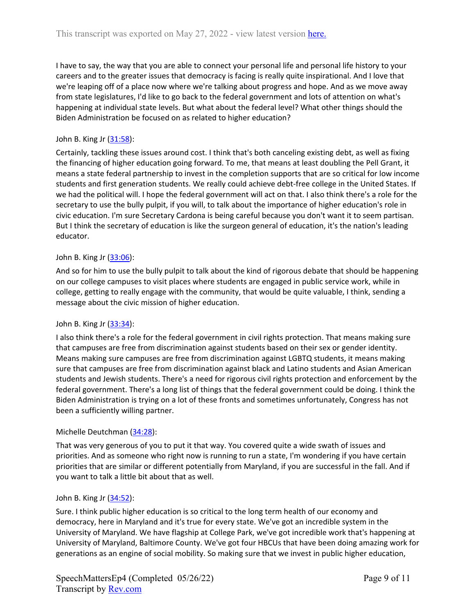I have to say, the way that you are able to connect your personal life and personal life history to your careers and to the greater issues that democracy is facing is really quite inspirational. And I love that we're leaping off of a place now where we're talking about progress and hope. And as we move away from state legislatures, I'd like to go back to the federal government and lots of attention on what's happening at individual state levels. But what about the federal level? What other things should the Biden Administration be focused on as related to higher education?

# John B. King Jr [\(31:58\)](https://www.rev.com/transcript-editor/Edit?token=nCoHvboHOQXPzXjOpPMhgxMYug1wZv4Dq8zM5odBB1WEkhbDnVNJdtQtu8fkQ3LTcUJ2v24Ep8n-2ANNRQyjF4oKyRM&loadFrom=DocumentDeeplink&ts=1918.3):

Certainly, tackling these issues around cost. I think that's both canceling existing debt, as well as fixing the financing of higher education going forward. To me, that means at least doubling the Pell Grant, it means a state federal partnership to invest in the completion supports that are so critical for low income students and first generation students. We really could achieve debt-free college in the United States. If we had the political will. I hope the federal government will act on that. I also think there's a role for the secretary to use the bully pulpit, if you will, to talk about the importance of higher education's role in civic education. I'm sure Secretary Cardona is being careful because you don't want it to seem partisan. But I think the secretary of education is like the surgeon general of education, it's the nation's leading educator.

# John B. King Jr [\(33:06\)](https://www.rev.com/transcript-editor/Edit?token=VCcxPvhDajTWXcRgGTE0PnHCuZHp7iMDXLJbKPJ6cDXdX1rEh8THfzc7uEB-rIRM6n4RJbYoxyb7zeTkW-Ghd8N2hW4&loadFrom=DocumentDeeplink&ts=1986.36):

And so for him to use the bully pulpit to talk about the kind of rigorous debate that should be happening on our college campuses to visit places where students are engaged in public service work, while in college, getting to really engage with the community, that would be quite valuable, I think, sending a message about the civic mission of higher education.

#### John B. King Jr  $(33:34)$ :

I also think there's a role for the federal government in civil rights protection. That means making sure that campuses are free from discrimination against students based on their sex or gender identity. Means making sure campuses are free from discrimination against LGBTQ students, it means making sure that campuses are free from discrimination against black and Latino students and Asian American students and Jewish students. There's a need for rigorous civil rights protection and enforcement by the federal government. There's a long list of things that the federal government could be doing. I think the Biden Administration is trying on a lot of these fronts and sometimes unfortunately, Congress has not been a sufficiently willing partner.

# Michelle Deutchman ([34:28\)](https://www.rev.com/transcript-editor/Edit?token=QNr847UgtSWDLyprG5s2wML_DwRh9JKoEbmCiSmg9b9IMC_Vf9cLfIIE54wTR8kd1XhL1hK_x6XU_jM8pOgVwYq2ARg&loadFrom=DocumentDeeplink&ts=2068.14):

That was very generous of you to put it that way. You covered quite a wide swath of issues and priorities. And as someone who right now is running to run a state, I'm wondering if you have certain priorities that are similar or different potentially from Maryland, if you are successful in the fall. And if you want to talk a little bit about that as well.

#### John B. King Jr [\(34:52\)](https://www.rev.com/transcript-editor/Edit?token=BmJzpjApM1QbgzmHdWdPgIpLsiLq1_pPz_27BX7AI9q6E0VC8QuBD-Bgzflox-zaUl2qh5tkmyaueVJbho_oEDsjjGc&loadFrom=DocumentDeeplink&ts=2092.05):

Sure. I think public higher education is so critical to the long term health of our economy and democracy, here in Maryland and it's true for every state. We've got an incredible system in the University of Maryland. We have flagship at College Park, we've got incredible work that's happening at University of Maryland, Baltimore County. We've got four HBCUs that have been doing amazing work for generations as an engine of social mobility. So making sure that we invest in public higher education,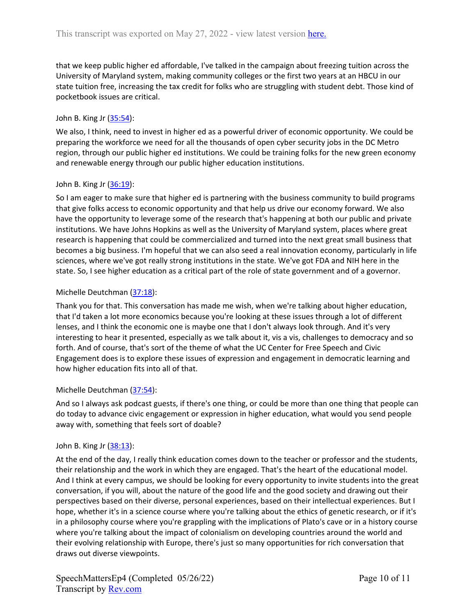that we keep public higher ed affordable, I've talked in the campaign about freezing tuition across the University of Maryland system, making community colleges or the first two years at an HBCU in our state tuition free, increasing the tax credit for folks who are struggling with student debt. Those kind of pocketbook issues are critical.

#### John B. King Jr [\(35:54\)](https://www.rev.com/transcript-editor/Edit?token=hkFJbD-muZ5YNf-so1TRfLR4vKV1g-TVjAaRo4-zJXcj-ZJZSpJetHq0wOExLyvMCJULCAjLjnEAIaKZGu-SANlKFZA&loadFrom=DocumentDeeplink&ts=2154.71):

We also, I think, need to invest in higher ed as a powerful driver of economic opportunity. We could be preparing the workforce we need for all the thousands of open cyber security jobs in the DC Metro region, through our public higher ed institutions. We could be training folks for the new green economy and renewable energy through our public higher education institutions.

# John B. King Jr [\(36:19\)](https://www.rev.com/transcript-editor/Edit?token=Sqne4z2jbSI6HiaVakHOaffnvIiDd8_qIgMT0PQQhgNOiUeDe3T0K_HHZu7gzj1rbNL3TPulK9NJmhu5J5182gMyjmo&loadFrom=DocumentDeeplink&ts=2179.92):

So I am eager to make sure that higher ed is partnering with the business community to build programs that give folks access to economic opportunity and that help us drive our economy forward. We also have the opportunity to leverage some of the research that's happening at both our public and private institutions. We have Johns Hopkins as well as the University of Maryland system, places where great research is happening that could be commercialized and turned into the next great small business that becomes a big business. I'm hopeful that we can also seed a real innovation economy, particularly in life sciences, where we've got really strong institutions in the state. We've got FDA and NIH here in the state. So, I see higher education as a critical part of the role of state government and of a governor.

# Michelle Deutchman ([37:18\)](https://www.rev.com/transcript-editor/Edit?token=Ezs_mlfbG81xgUqYrs65HMoc_fr2hL9L_tXOK39k8KgLisgzeGxpP9x2ivnzHz-dl4vKpk_svNjwDJKGG_qrYeRtzjw&loadFrom=DocumentDeeplink&ts=2238.17):

Thank you for that. This conversation has made me wish, when we're talking about higher education, that I'd taken a lot more economics because you're looking at these issues through a lot of different lenses, and I think the economic one is maybe one that I don't always look through. And it's very interesting to hear it presented, especially as we talk about it, vis a vis, challenges to democracy and so forth. And of course, that's sort of the theme of what the UC Center for Free Speech and Civic Engagement does is to explore these issues of expression and engagement in democratic learning and how higher education fits into all of that.

#### Michelle Deutchman ([37:54\)](https://www.rev.com/transcript-editor/Edit?token=OdWhyGbR-0FF7LAsAVrtfVinRhutc5jeLm3e61jfeshz1Nthklhdewca6nU5P1NBbgncsEIq6fkly6v9Bi4z4apyUtA&loadFrom=DocumentDeeplink&ts=2274.7):

And so I always ask podcast guests, if there's one thing, or could be more than one thing that people can do today to advance civic engagement or expression in higher education, what would you send people away with, something that feels sort of doable?

#### John B. King Jr  $(38:13)$ :

At the end of the day, I really think education comes down to the teacher or professor and the students, their relationship and the work in which they are engaged. That's the heart of the educational model. And I think at every campus, we should be looking for every opportunity to invite students into the great conversation, if you will, about the nature of the good life and the good society and drawing out their perspectives based on their diverse, personal experiences, based on their intellectual experiences. But I hope, whether it's in a science course where you're talking about the ethics of genetic research, or if it's in a philosophy course where you're grappling with the implications of Plato's cave or in a history course where you're talking about the impact of colonialism on developing countries around the world and their evolving relationship with Europe, there's just so many opportunities for rich conversation that draws out diverse viewpoints.